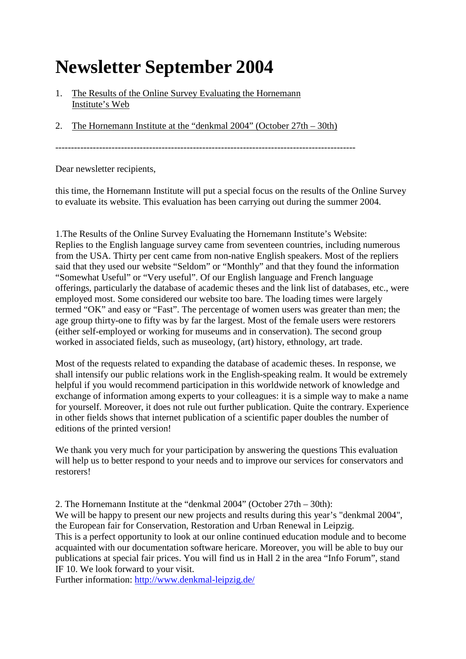## **Newsletter September 2004**

- 1. The Results of the Online Survey Evaluating the Hornemann Institute's Web
- 2. The Hornemann Institute at the "denkmal 2004" (October 27th 30th)

------------------------------------------------------------------------------------------------

Dear newsletter recipients,

this time, the Hornemann Institute will put a special focus on the results of the Online Survey to evaluate its website. This evaluation has been carrying out during the summer 2004.

1.The Results of the Online Survey Evaluating the Hornemann Institute's Website: Replies to the English language survey came from seventeen countries, including numerous from the USA. Thirty per cent came from non-native English speakers. Most of the repliers said that they used our website "Seldom" or "Monthly" and that they found the information "Somewhat Useful" or "Very useful". Of our English language and French language offerings, particularly the database of academic theses and the link list of databases, etc., were employed most. Some considered our website too bare. The loading times were largely termed "OK" and easy or "Fast". The percentage of women users was greater than men; the age group thirty-one to fifty was by far the largest. Most of the female users were restorers (either self-employed or working for museums and in conservation). The second group worked in associated fields, such as museology, (art) history, ethnology, art trade.

Most of the requests related to expanding the database of academic theses. In response, we shall intensify our public relations work in the English-speaking realm. It would be extremely helpful if you would recommend participation in this worldwide network of knowledge and exchange of information among experts to your colleagues: it is a simple way to make a name for yourself. Moreover, it does not rule out further publication. Quite the contrary. Experience in other fields shows that internet publication of a scientific paper doubles the number of editions of the printed version!

We thank you very much for your participation by answering the questions This evaluation will help us to better respond to your needs and to improve our services for conservators and restorers!

2. The Hornemann Institute at the "denkmal 2004" (October 27th – 30th): We will be happy to present our new projects and results during this year's "denkmal 2004", the European fair for Conservation, Restoration and Urban Renewal in Leipzig. This is a perfect opportunity to look at our online continued education module and to become acquainted with our documentation software hericare. Moreover, you will be able to buy our publications at special fair prices. You will find us in Hall 2 in the area "Info Forum", stand IF 10. We look forward to your visit.

Further information:<http://www.denkmal-leipzig.de/>